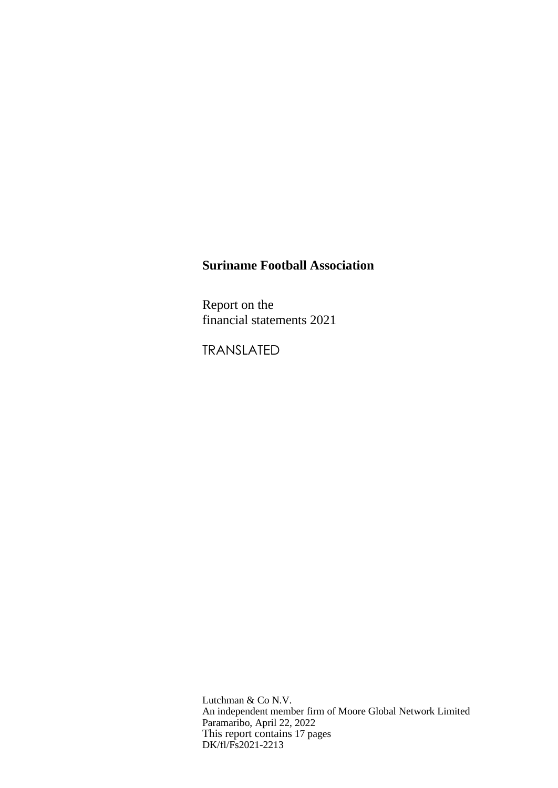Report on the financial statements 2021

TRANSLATED

Lutchman & Co N.V. An independent member firm of Moore Global Network Limited Paramaribo, April 22, 2022 This report contains 17 pages DK/fl/Fs2021-2213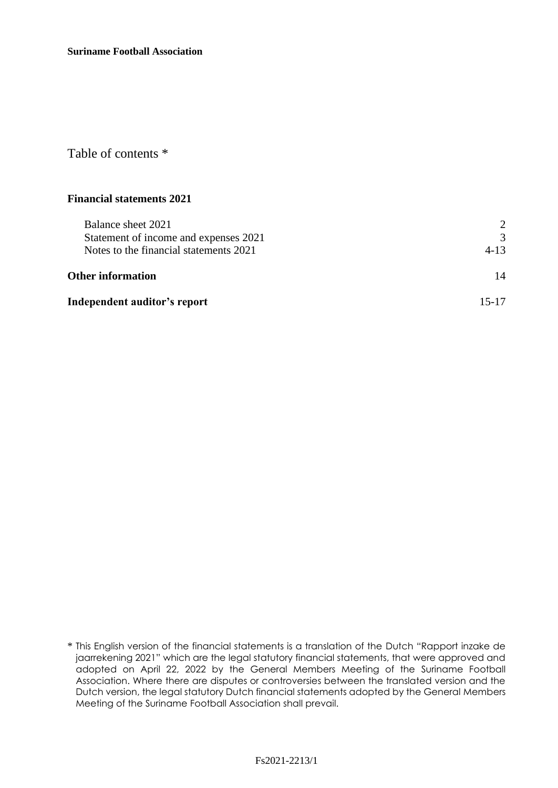Table of contents \*

# **Financial statements 2021**

| Balance sheet 2021<br>Statement of income and expenses 2021 | $\mathcal{D}_{\mathcal{L}}$<br>$\mathcal{R}$ |
|-------------------------------------------------------------|----------------------------------------------|
| Notes to the financial statements 2021                      | $4 - 13$                                     |
| <b>Other information</b>                                    | 14                                           |
| Independent auditor's report                                | 15-17                                        |

<sup>\*</sup> This English version of the financial statements is a translation of the Dutch "Rapport inzake de jaarrekening 2021" which are the legal statutory financial statements, that were approved and adopted on April 22, 2022 by the General Members Meeting of the Suriname Football Association. Where there are disputes or controversies between the translated version and the Dutch version, the legal statutory Dutch financial statements adopted by the General Members Meeting of the Suriname Football Association shall prevail.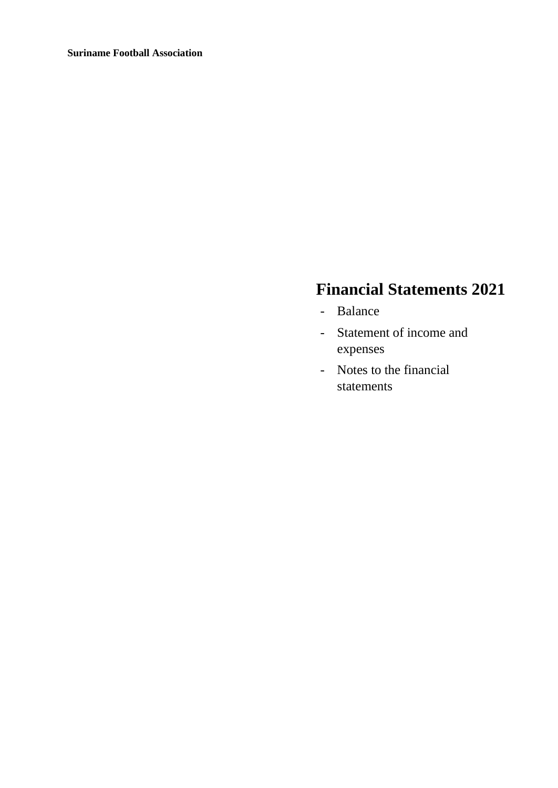# **Financial Statements 2021**

- Balance
- Statement of income and expenses
- Notes to the financial statements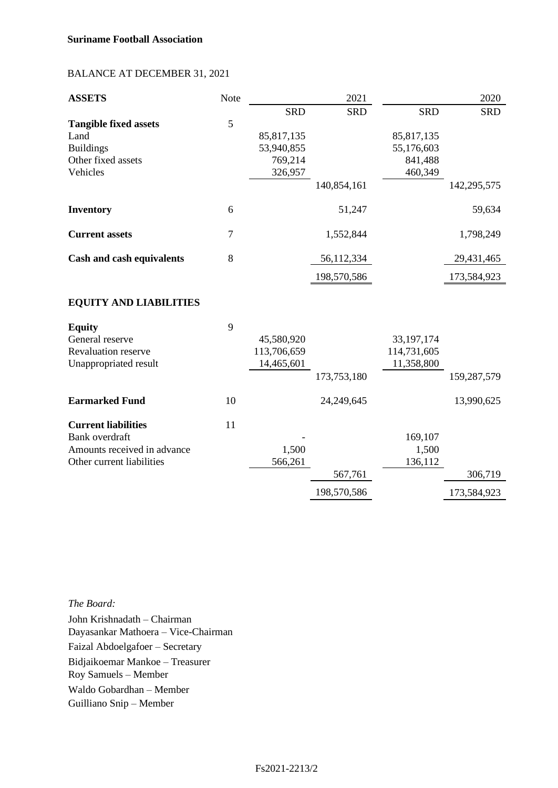# BALANCE AT DECEMBER 31, 2021

| <b>ASSETS</b>                    | Note   |             | 2021        |              | 2020        |
|----------------------------------|--------|-------------|-------------|--------------|-------------|
|                                  |        | <b>SRD</b>  | <b>SRD</b>  | <b>SRD</b>   | <b>SRD</b>  |
| <b>Tangible fixed assets</b>     | 5      |             |             |              |             |
| Land                             |        | 85,817,135  |             | 85,817,135   |             |
| <b>Buildings</b>                 |        | 53,940,855  |             | 55,176,603   |             |
| Other fixed assets               |        | 769,214     |             | 841,488      |             |
| Vehicles                         |        | 326,957     |             | 460,349      |             |
|                                  |        |             | 140,854,161 |              | 142,295,575 |
| <b>Inventory</b>                 | 6      |             | 51,247      |              | 59,634      |
| <b>Current assets</b>            | $\tau$ |             | 1,552,844   |              | 1,798,249   |
| <b>Cash and cash equivalents</b> | 8      |             | 56,112,334  |              | 29,431,465  |
|                                  |        |             | 198,570,586 |              | 173,584,923 |
| <b>EQUITY AND LIABILITIES</b>    |        |             |             |              |             |
| <b>Equity</b>                    | 9      |             |             |              |             |
| General reserve                  |        | 45,580,920  |             | 33, 197, 174 |             |
| <b>Revaluation reserve</b>       |        | 113,706,659 |             | 114,731,605  |             |
| Unappropriated result            |        | 14,465,601  |             | 11,358,800   |             |
|                                  |        |             | 173,753,180 |              | 159,287,579 |
| <b>Earmarked Fund</b>            | 10     |             | 24,249,645  |              | 13,990,625  |
| <b>Current liabilities</b>       | 11     |             |             |              |             |
| <b>Bank</b> overdraft            |        |             |             | 169,107      |             |
| Amounts received in advance      |        | 1,500       |             | 1,500        |             |
| Other current liabilities        |        | 566,261     |             | 136,112      |             |
|                                  |        |             | 567,761     |              | 306,719     |
|                                  |        |             | 198,570,586 |              | 173,584,923 |

*The Board:* John Krishnadath – Chairman Dayasankar Mathoera – Vice-Chairman Faizal Abdoelgafoer – Secretary Bidjaikoemar Mankoe – Treasurer Roy Samuels – Member Waldo Gobardhan – Member Guilliano Snip – Member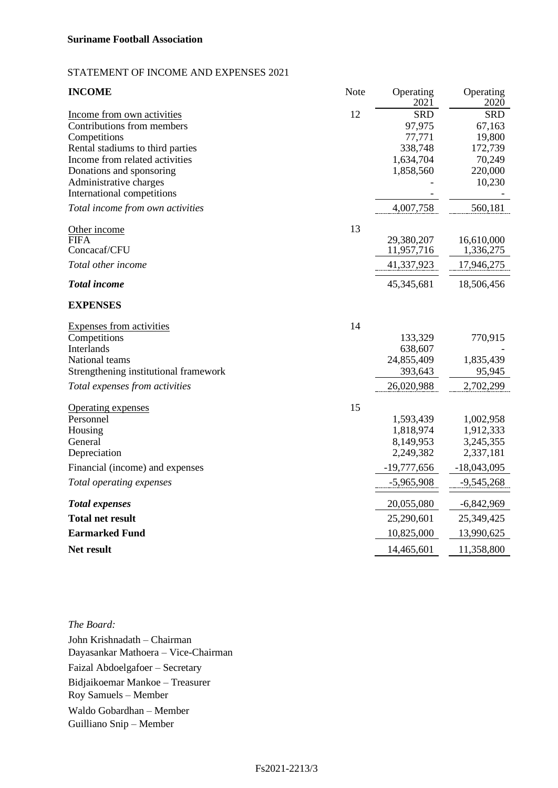# STATEMENT OF INCOME AND EXPENSES 2021

| <b>INCOME</b>                         | Note | Operating<br>$202\bar{1}$ | Operating<br>2020 |
|---------------------------------------|------|---------------------------|-------------------|
| Income from own activities            | 12   | <b>SRD</b>                | <b>SRD</b>        |
| Contributions from members            |      | 97,975                    | 67,163            |
| Competitions                          |      | 77,771                    | 19,800            |
| Rental stadiums to third parties      |      | 338,748                   | 172,739           |
| Income from related activities        |      | 1,634,704                 | 70,249            |
| Donations and sponsoring              |      | 1,858,560                 | 220,000           |
| Administrative charges                |      |                           | 10,230            |
| International competitions            |      |                           |                   |
| Total income from own activities      |      | 4,007,758                 | 560,181           |
| Other income                          | 13   |                           |                   |
| <b>FIFA</b>                           |      | 29,380,207                | 16,610,000        |
| Concacaf/CFU                          |      | 11,957,716                | 1,336,275         |
| Total other income                    |      | 41,337,923                | 17,946,275        |
| <b>Total income</b>                   |      | 45,345,681                | 18,506,456        |
| <b>EXPENSES</b>                       |      |                           |                   |
| <b>Expenses from activities</b>       | 14   |                           |                   |
| Competitions                          |      | 133,329                   | 770,915           |
| Interlands                            |      | 638,607                   |                   |
| National teams                        |      | 24,855,409                | 1,835,439         |
| Strengthening institutional framework |      | 393,643                   | 95,945            |
| Total expenses from activities        |      | 26,020,988                | 2,702,299         |
| <b>Operating expenses</b>             | 15   |                           |                   |
| Personnel                             |      | 1,593,439                 | 1,002,958         |
| Housing                               |      | 1,818,974                 | 1,912,333         |
| General                               |      | 8,149,953                 | 3,245,355         |
| Depreciation                          |      | 2,249,382                 | 2,337,181         |
| Financial (income) and expenses       |      | $-19,777,656$             | $-18,043,095$     |
| Total operating expenses              |      | $-5,965,908$              | $-9,545,268$      |
| <b>Total expenses</b>                 |      | 20,055,080                | $-6,842,969$      |
| <b>Total net result</b>               |      | 25,290,601                | 25,349,425        |
| <b>Earmarked Fund</b>                 |      | 10,825,000                | 13,990,625        |
| Net result                            |      | 14,465,601                | 11,358,800        |

*The Board:* John Krishnadath – Chairman Dayasankar Mathoera – Vice-Chairman Faizal Abdoelgafoer – Secretary Bidjaikoemar Mankoe – Treasurer Roy Samuels – Member Waldo Gobardhan – Member Guilliano Snip – Member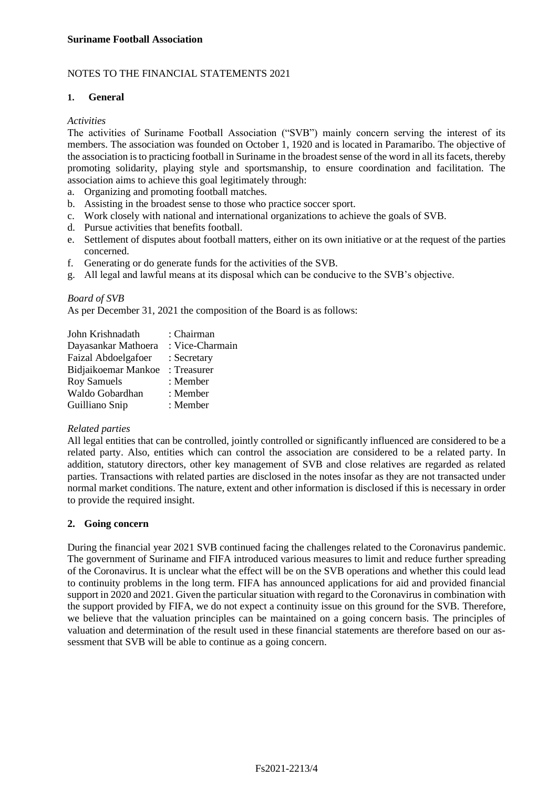# NOTES TO THE FINANCIAL STATEMENTS 2021

# **1. General**

# *Activities*

The activities of Suriname Football Association ("SVB") mainly concern serving the interest of its members. The association was founded on October 1, 1920 and is located in Paramaribo. The objective of the association is to practicing football in Suriname in the broadest sense of the word in all its facets, thereby promoting solidarity, playing style and sportsmanship, to ensure coordination and facilitation. The association aims to achieve this goal legitimately through:

- a. Organizing and promoting football matches.
- b. Assisting in the broadest sense to those who practice soccer sport.
- c. Work closely with national and international organizations to achieve the goals of SVB.
- d. Pursue activities that benefits football.
- e. Settlement of disputes about football matters, either on its own initiative or at the request of the parties concerned.
- f. Generating or do generate funds for the activities of the SVB.
- g. All legal and lawful means at its disposal which can be conducive to the SVB's objective.

# *Board of SVB*

As per December 31, 2021 the composition of the Board is as follows:

| John Krishnadath    | : Chairman      |
|---------------------|-----------------|
| Dayasankar Mathoera | : Vice-Charmain |
| Faizal Abdoelgafoer | : Secretary     |
| Bidjaikoemar Mankoe | : Treasurer     |
| <b>Roy Samuels</b>  | : Member        |
| Waldo Gobardhan     | : Member        |
| Guilliano Snip      | : Member        |

#### *Related parties*

All legal entities that can be controlled, jointly controlled or significantly influenced are considered to be a related party. Also, entities which can control the association are considered to be a related party. In addition, statutory directors, other key management of SVB and close relatives are regarded as related parties. Transactions with related parties are disclosed in the notes insofar as they are not transacted under normal market conditions. The nature, extent and other information is disclosed if this is necessary in order to provide the required insight.

# **2. Going concern**

During the financial year 2021 SVB continued facing the challenges related to the Coronavirus pandemic. The government of Suriname and FIFA introduced various measures to limit and reduce further spreading of the Coronavirus. It is unclear what the effect will be on the SVB operations and whether this could lead to continuity problems in the long term. FIFA has announced applications for aid and provided financial support in 2020 and 2021. Given the particular situation with regard to the Coronavirus in combination with the support provided by FIFA, we do not expect a continuity issue on this ground for the SVB. Therefore, we believe that the valuation principles can be maintained on a going concern basis. The principles of valuation and determination of the result used in these financial statements are therefore based on our assessment that SVB will be able to continue as a going concern.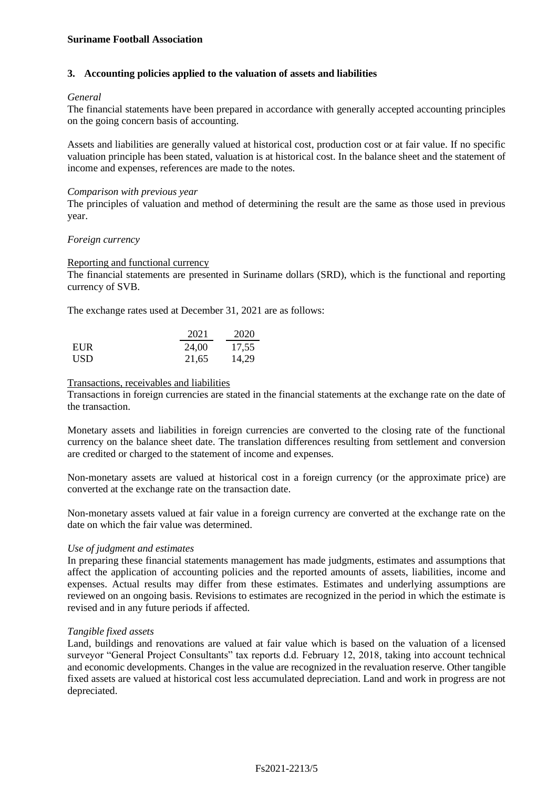# **3. Accounting policies applied to the valuation of assets and liabilities**

## *General*

The financial statements have been prepared in accordance with generally accepted accounting principles on the going concern basis of accounting.

Assets and liabilities are generally valued at historical cost, production cost or at fair value. If no specific valuation principle has been stated, valuation is at historical cost. In the balance sheet and the statement of income and expenses, references are made to the notes.

#### *Comparison with previous year*

The principles of valuation and method of determining the result are the same as those used in previous year.

# *Foreign currency*

# Reporting and functional currency

The financial statements are presented in Suriname dollars (SRD), which is the functional and reporting currency of SVB.

The exchange rates used at December 31, 2021 are as follows:

|            | 2021  | 2020  |
|------------|-------|-------|
| <b>EUR</b> | 24,00 | 17,55 |
| USD.       | 21,65 | 14,29 |

# Transactions, receivables and liabilities

Transactions in foreign currencies are stated in the financial statements at the exchange rate on the date of the transaction.

Monetary assets and liabilities in foreign currencies are converted to the closing rate of the functional currency on the balance sheet date. The translation differences resulting from settlement and conversion are credited or charged to the statement of income and expenses.

Non-monetary assets are valued at historical cost in a foreign currency (or the approximate price) are converted at the exchange rate on the transaction date.

Non-monetary assets valued at fair value in a foreign currency are converted at the exchange rate on the date on which the fair value was determined.

#### *Use of judgment and estimates*

In preparing these financial statements management has made judgments, estimates and assumptions that affect the application of accounting policies and the reported amounts of assets, liabilities, income and expenses. Actual results may differ from these estimates. Estimates and underlying assumptions are reviewed on an ongoing basis. Revisions to estimates are recognized in the period in which the estimate is revised and in any future periods if affected.

#### *Tangible fixed assets*

Land, buildings and renovations are valued at fair value which is based on the valuation of a licensed surveyor "General Project Consultants" tax reports d.d. February 12, 2018, taking into account technical and economic developments. Changes in the value are recognized in the revaluation reserve. Other tangible fixed assets are valued at historical cost less accumulated depreciation. Land and work in progress are not depreciated.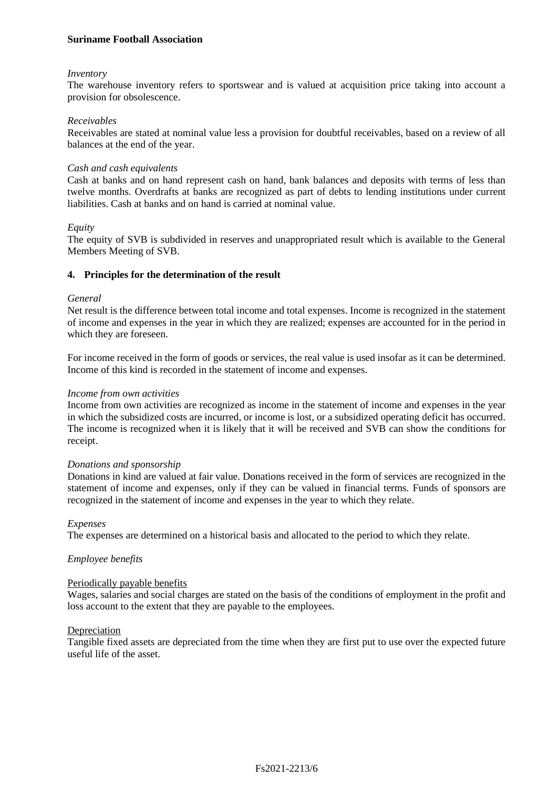#### *Inventory*

The warehouse inventory refers to sportswear and is valued at acquisition price taking into account a provision for obsolescence.

#### *Receivables*

Receivables are stated at nominal value less a provision for doubtful receivables, based on a review of all balances at the end of the year.

#### *Cash and cash equivalents*

Cash at banks and on hand represent cash on hand, bank balances and deposits with terms of less than twelve months. Overdrafts at banks are recognized as part of debts to lending institutions under current liabilities. Cash at banks and on hand is carried at nominal value.

#### *Equity*

The equity of SVB is subdivided in reserves and unappropriated result which is available to the General Members Meeting of SVB.

#### **4. Principles for the determination of the result**

#### *General*

Net result is the difference between total income and total expenses. Income is recognized in the statement of income and expenses in the year in which they are realized; expenses are accounted for in the period in which they are foreseen.

For income received in the form of goods or services, the real value is used insofar as it can be determined. Income of this kind is recorded in the statement of income and expenses.

#### *Income from own activities*

Income from own activities are recognized as income in the statement of income and expenses in the year in which the subsidized costs are incurred, or income is lost, or a subsidized operating deficit has occurred. The income is recognized when it is likely that it will be received and SVB can show the conditions for receipt.

#### *Donations and sponsorship*

Donations in kind are valued at fair value. Donations received in the form of services are recognized in the statement of income and expenses, only if they can be valued in financial terms. Funds of sponsors are recognized in the statement of income and expenses in the year to which they relate.

#### *Expenses*

The expenses are determined on a historical basis and allocated to the period to which they relate.

#### *Employee benefits*

# Periodically payable benefits

Wages, salaries and social charges are stated on the basis of the conditions of employment in the profit and loss account to the extent that they are payable to the employees.

#### Depreciation

Tangible fixed assets are depreciated from the time when they are first put to use over the expected future useful life of the asset.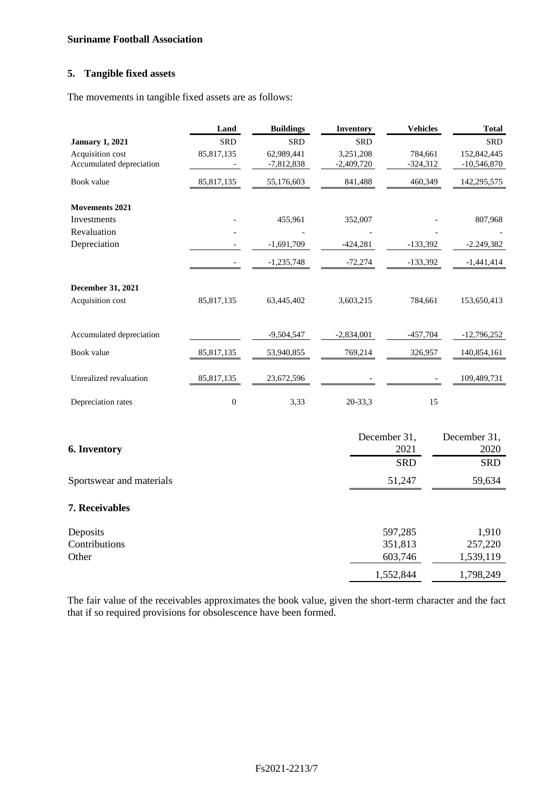# **5. Tangible fixed assets**

The movements in tangible fixed assets are as follows:

|                                              | Land             | <b>Buildings</b>           | <b>Inventory</b>          | <b>Vehicles</b>       | <b>Total</b>                 |
|----------------------------------------------|------------------|----------------------------|---------------------------|-----------------------|------------------------------|
| <b>January 1, 2021</b>                       | <b>SRD</b>       | <b>SRD</b>                 | <b>SRD</b>                |                       | <b>SRD</b>                   |
| Acquisition cost<br>Accumulated depreciation | 85,817,135       | 62,989,441<br>$-7,812,838$ | 3,251,208<br>$-2,409,720$ | 784,661<br>$-324,312$ | 152,842,445<br>$-10,546,870$ |
| Book value                                   | 85,817,135       | 55,176,603                 | 841,488                   | 460,349               | 142,295,575                  |
| <b>Movements 2021</b>                        |                  |                            |                           |                       |                              |
| Investments                                  |                  | 455,961                    | 352,007                   |                       | 807,968                      |
| Revaluation                                  |                  |                            |                           |                       |                              |
| Depreciation                                 |                  | $-1,691,709$               | $-424,281$                | $-133,392$            | $-2.249,382$                 |
|                                              |                  | $-1,235,748$               | $-72,274$                 | $-133,392$            | $-1,441,414$                 |
| December 31, 2021                            |                  |                            |                           |                       |                              |
| Acquisition cost                             | 85,817,135       | 63,445,402                 | 3,603,215                 | 784,661               | 153,650,413                  |
| Accumulated depreciation                     |                  | $-9,504,547$               | $-2,834,001$              | $-457,704$            | $-12,796,252$                |
| Book value                                   | 85, 817, 135     | 53,940,855                 | 769,214                   | 326,957               | 140,854,161                  |
| Unrealized revaluation                       | 85,817,135       | 23,672,596                 |                           |                       | 109,489,731                  |
| Depreciation rates                           | $\boldsymbol{0}$ | 3,33                       | 20-33,3                   | 15                    |                              |
|                                              |                  |                            |                           | December 31,          | December 31,                 |
| <b>6. Inventory</b>                          |                  |                            |                           | 2021                  | 2020                         |
|                                              |                  |                            |                           | <b>SRD</b>            | <b>SRD</b>                   |
| Sportswear and materials                     |                  |                            |                           | 51,247                | 59,634                       |
| 7. Receivables                               |                  |                            |                           |                       |                              |
| Deposits                                     |                  |                            |                           | 597,285               | 1,910                        |
| Contributions                                |                  |                            |                           | 351,813               | 257,220                      |
| Other                                        |                  |                            |                           | 603,746               | 1,539,119                    |
|                                              |                  |                            |                           | 1,552,844             | 1,798,249                    |

The fair value of the receivables approximates the book value, given the short-term character and the fact that if so required provisions for obsolescence have been formed.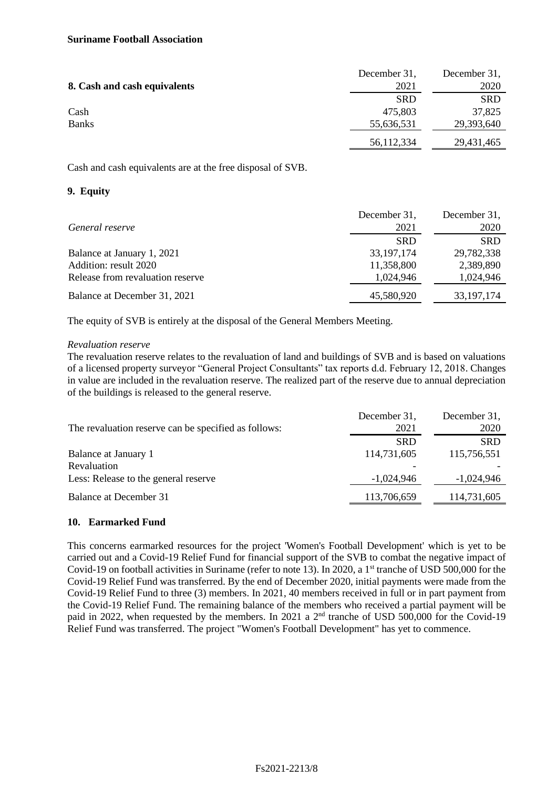|                              | December 31, | December 31, |
|------------------------------|--------------|--------------|
| 8. Cash and cash equivalents | 2021         | 2020         |
|                              | <b>SRD</b>   | <b>SRD</b>   |
| Cash                         | 475.803      | 37,825       |
| <b>Banks</b>                 | 55,636,531   | 29,393,640   |
|                              | 56,112,334   | 29,431,465   |

Cash and cash equivalents are at the free disposal of SVB.

# **9. Equity**

|                                  | December 31, | December 31, |
|----------------------------------|--------------|--------------|
| General reserve                  | 2021         | 2020         |
|                                  | <b>SRD</b>   | <b>SRD</b>   |
| Balance at January 1, 2021       | 33, 197, 174 | 29,782,338   |
| Addition: result 2020            | 11,358,800   | 2,389,890    |
| Release from revaluation reserve | 1,024,946    | 1,024,946    |
| Balance at December 31, 2021     | 45,580,920   | 33, 197, 174 |

The equity of SVB is entirely at the disposal of the General Members Meeting.

# *Revaluation reserve*

The revaluation reserve relates to the revaluation of land and buildings of SVB and is based on valuations of a licensed property surveyor "General Project Consultants" tax reports d.d. February 12, 2018. Changes in value are included in the revaluation reserve. The realized part of the reserve due to annual depreciation of the buildings is released to the general reserve.

| The revaluation reserve can be specified as follows: | December 31,<br>2021 | December 31,<br>2020 |
|------------------------------------------------------|----------------------|----------------------|
|                                                      | <b>SRD</b>           | <b>SRD</b>           |
| Balance at January 1                                 | 114,731,605          | 115,756,551          |
| Revaluation<br>Less: Release to the general reserve  | $-1,024,946$         | $-1,024,946$         |
|                                                      |                      |                      |
| Balance at December 31                               | 113,706,659          | 114,731,605          |

# **10. Earmarked Fund**

This concerns earmarked resources for the project 'Women's Football Development' which is yet to be carried out and a Covid-19 Relief Fund for financial support of the SVB to combat the negative impact of Covid-19 on football activities in Suriname (refer to note 13). In 2020, a  $1<sup>st</sup>$  tranche of USD 500,000 for the Covid-19 Relief Fund was transferred. By the end of December 2020, initial payments were made from the Covid-19 Relief Fund to three (3) members. In 2021, 40 members received in full or in part payment from the Covid-19 Relief Fund. The remaining balance of the members who received a partial payment will be paid in 2022, when requested by the members. In 2021 a 2<sup>nd</sup> tranche of USD 500,000 for the Covid-19 Relief Fund was transferred. The project "Women's Football Development" has yet to commence.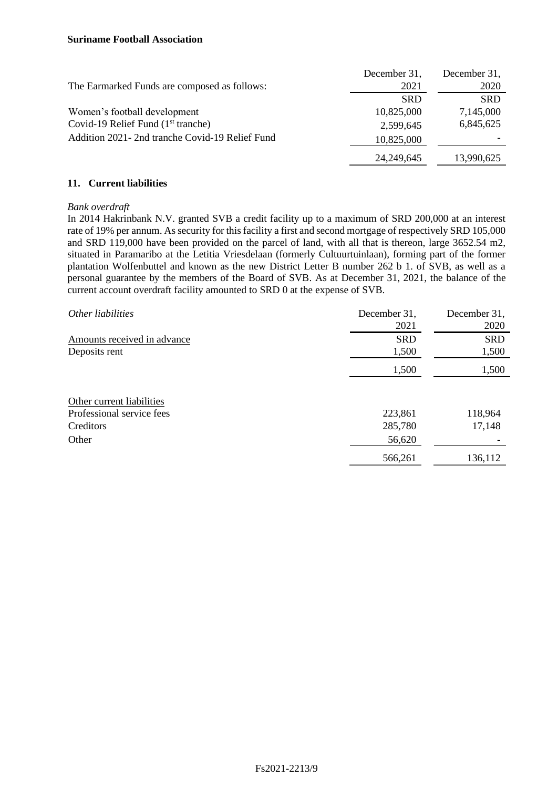|                                                  | December 31, | December 31, |
|--------------------------------------------------|--------------|--------------|
| The Earmarked Funds are composed as follows:     | 2021         | 2020         |
|                                                  | <b>SRD</b>   | <b>SRD</b>   |
| Women's football development                     | 10,825,000   | 7,145,000    |
| Covid-19 Relief Fund $(1st$ tranche)             | 2,599,645    | 6,845,625    |
| Addition 2021 - 2nd tranche Covid-19 Relief Fund | 10,825,000   |              |
|                                                  | 24, 249, 645 | 13,990,625   |

# **11. Current liabilities**

# *Bank overdraft*

In 2014 Hakrinbank N.V. granted SVB a credit facility up to a maximum of SRD 200,000 at an interest rate of 19% per annum. As security for this facility a first and second mortgage of respectively SRD 105,000 and SRD 119,000 have been provided on the parcel of land, with all that is thereon, large 3652.54 m2, situated in Paramaribo at the Letitia Vriesdelaan (formerly Cultuurtuinlaan), forming part of the former plantation Wolfenbuttel and known as the new District Letter B number 262 b 1. of SVB, as well as a personal guarantee by the members of the Board of SVB. As at December 31, 2021, the balance of the current account overdraft facility amounted to SRD 0 at the expense of SVB.

| Other liabilities           | December 31, | December 31, |
|-----------------------------|--------------|--------------|
|                             | 2021         | 2020         |
| Amounts received in advance | <b>SRD</b>   | <b>SRD</b>   |
| Deposits rent               | 1,500        | 1,500        |
|                             | 1,500        | 1,500        |
|                             |              |              |
| Other current liabilities   |              |              |
| Professional service fees   | 223,861      | 118,964      |
| Creditors                   | 285,780      | 17,148       |
| Other                       | 56,620       |              |
|                             | 566,261      | 136,112      |
|                             |              |              |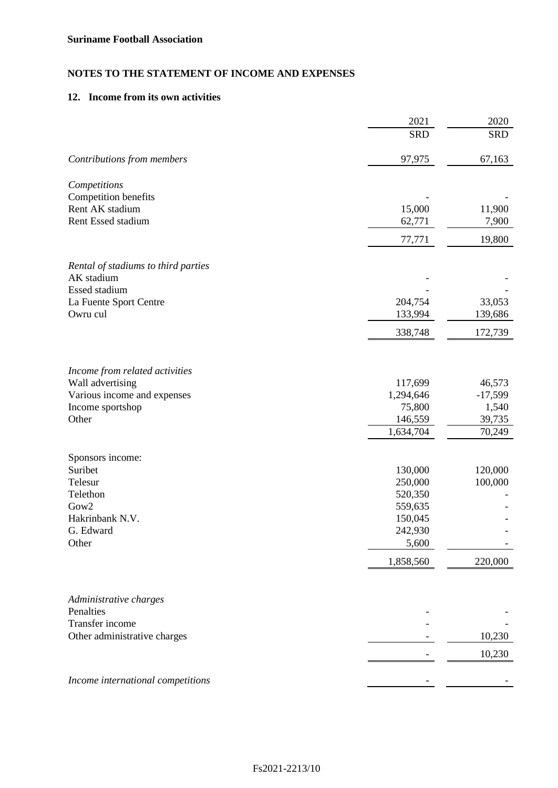# **NOTES TO THE STATEMENT OF INCOME AND EXPENSES**

# **12. Income from its own activities**

|                                                 | 2021                 | 2020                |
|-------------------------------------------------|----------------------|---------------------|
|                                                 | <b>SRD</b>           | <b>SRD</b>          |
| Contributions from members                      | 97,975               | 67,163              |
| Competitions                                    |                      |                     |
| Competition benefits                            |                      |                     |
| Rent AK stadium                                 | 15,000               | 11,900              |
| Rent Essed stadium                              | 62,771               | 7,900               |
|                                                 | 77,771               | 19,800              |
| Rental of stadiums to third parties             |                      |                     |
| AK stadium                                      |                      |                     |
| <b>Essed stadium</b>                            |                      |                     |
| La Fuente Sport Centre                          | 204,754              | 33,053              |
| Owru cul                                        | 133,994              | 139,686             |
|                                                 | 338,748              | 172,739             |
|                                                 |                      |                     |
| Income from related activities                  |                      |                     |
| Wall advertising                                | 117,699<br>1,294,646 | 46,573<br>$-17,599$ |
| Various income and expenses<br>Income sportshop | 75,800               | 1,540               |
| Other                                           | 146,559              | 39,735              |
|                                                 | 1,634,704            | 70,249              |
| Sponsors income:                                |                      |                     |
| Suribet                                         | 130,000              | 120,000             |
| Telesur                                         | 250,000              | 100,000             |
| Telethon                                        | 520,350              |                     |
| Gow2                                            | 559,635              |                     |
| Hakrinbank N.V.                                 | 150,045              |                     |
| G. Edward                                       | 242,930              |                     |
| Other                                           | 5,600                |                     |
|                                                 | 1,858,560            | 220,000             |
|                                                 |                      |                     |
| Administrative charges<br>Penalties             |                      |                     |
| Transfer income                                 |                      |                     |
| Other administrative charges                    |                      | 10,230              |
|                                                 |                      | 10,230              |
| Income international competitions               |                      |                     |
|                                                 |                      |                     |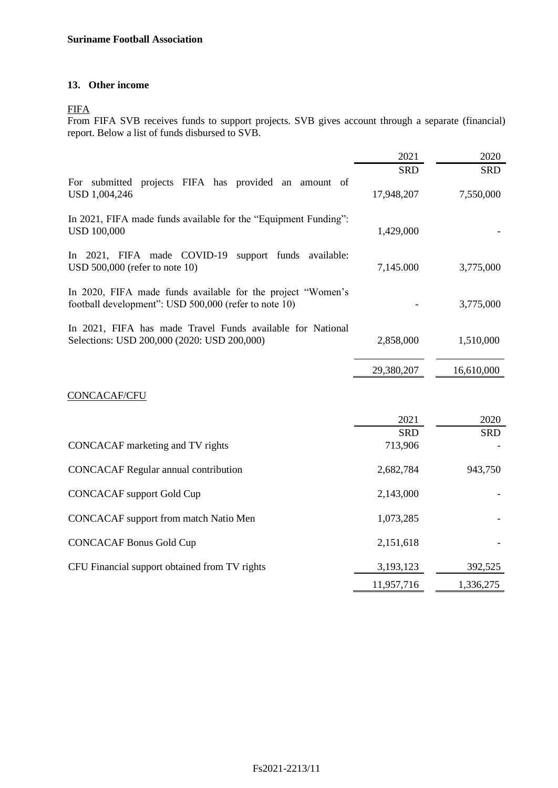# **13. Other income**

FIFA

From FIFA SVB receives funds to support projects. SVB gives account through a separate (financial) report. Below a list of funds disbursed to SVB.

|                                                                                                                      | 2021       | 2020       |
|----------------------------------------------------------------------------------------------------------------------|------------|------------|
|                                                                                                                      | <b>SRD</b> | <b>SRD</b> |
| For submitted projects FIFA has provided an amount of<br>USD 1,004,246                                               | 17,948,207 | 7,550,000  |
| In 2021, FIFA made funds available for the "Equipment Funding":<br><b>USD 100,000</b>                                | 1,429,000  |            |
| In $2021$ , FIFA made COVID-19<br>support funds available:<br>USD $500,000$ (refer to note 10)                       | 7,145.000  | 3,775,000  |
| In 2020, FIFA made funds available for the project "Women's<br>football development": USD 500,000 (refer to note 10) |            | 3,775,000  |
| In 2021, FIFA has made Travel Funds available for National<br>Selections: USD 200,000 (2020: USD 200,000)            | 2,858,000  | 1,510,000  |
|                                                                                                                      | 29,380,207 | 16,610,000 |
| <b>CONCACAF/CFU</b>                                                                                                  |            |            |
|                                                                                                                      | 2021       | 2020       |

| CONCACAF marketing and TV rights              | <b>SRD</b><br>713,906 | <b>SRD</b> |
|-----------------------------------------------|-----------------------|------------|
|                                               |                       |            |
| <b>CONCACAF</b> Regular annual contribution   | 2,682,784             | 943,750    |
| <b>CONCACAF</b> support Gold Cup              | 2,143,000             |            |
| <b>CONCACAF</b> support from match Natio Men  | 1,073,285             |            |
| <b>CONCACAF Bonus Gold Cup</b>                | 2,151,618             |            |
| CFU Financial support obtained from TV rights | 3,193,123             | 392,525    |
|                                               | 11,957,716            | 1,336,275  |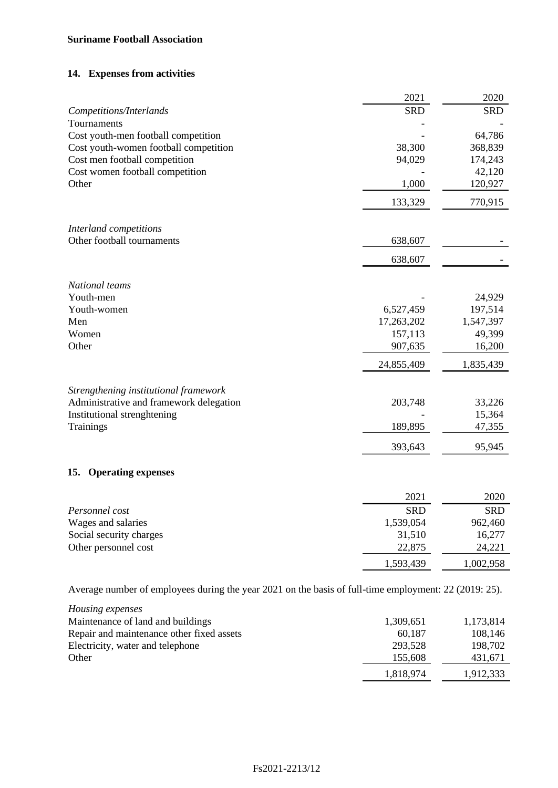# **14. Expenses from activities**

|                                                                                                       | 2021       | 2020       |
|-------------------------------------------------------------------------------------------------------|------------|------------|
| Competitions/Interlands                                                                               | <b>SRD</b> | <b>SRD</b> |
| Tournaments                                                                                           |            |            |
| Cost youth-men football competition                                                                   |            | 64,786     |
| Cost youth-women football competition                                                                 | 38,300     | 368,839    |
| Cost men football competition                                                                         | 94,029     | 174,243    |
| Cost women football competition                                                                       |            | 42,120     |
| Other                                                                                                 | 1,000      | 120,927    |
|                                                                                                       | 133,329    | 770,915    |
| Interland competitions                                                                                |            |            |
| Other football tournaments                                                                            | 638,607    |            |
|                                                                                                       | 638,607    |            |
| National teams                                                                                        |            |            |
| Youth-men                                                                                             |            | 24,929     |
| Youth-women                                                                                           | 6,527,459  | 197,514    |
| Men                                                                                                   | 17,263,202 | 1,547,397  |
| Women                                                                                                 | 157,113    | 49,399     |
| Other                                                                                                 | 907,635    | 16,200     |
|                                                                                                       | 24,855,409 | 1,835,439  |
| Strengthening institutional framework                                                                 |            |            |
| Administrative and framework delegation                                                               | 203,748    | 33,226     |
| Institutional strenghtening                                                                           |            | 15,364     |
| <b>Trainings</b>                                                                                      | 189,895    | 47,355     |
|                                                                                                       | 393,643    | 95,945     |
| <b>Operating expenses</b><br>15.                                                                      |            |            |
|                                                                                                       | 2021       | 2020       |
| Personnel cost                                                                                        | <b>SRD</b> | <b>SRD</b> |
| Wages and salaries                                                                                    | 1,539,054  | 962,460    |
| Social security charges                                                                               | 31,510     | 16,277     |
| Other personnel cost                                                                                  | 22,875     | 24,221     |
|                                                                                                       | 1,593,439  | 1,002,958  |
| Average number of employees during the year 2021 on the basis of full-time employment: 22 (2019: 25). |            |            |
| Housing expenses                                                                                      |            |            |
| Maintenance of land and buildings                                                                     | 1,309,651  | 1,173,814  |

| Repair and maintenance other fixed assets | 60.187    | 108.146   |
|-------------------------------------------|-----------|-----------|
| Electricity, water and telephone          | 293,528   | 198.702   |
| Other                                     | 155.608   | 431.671   |
|                                           | 1.818.974 | 1,912,333 |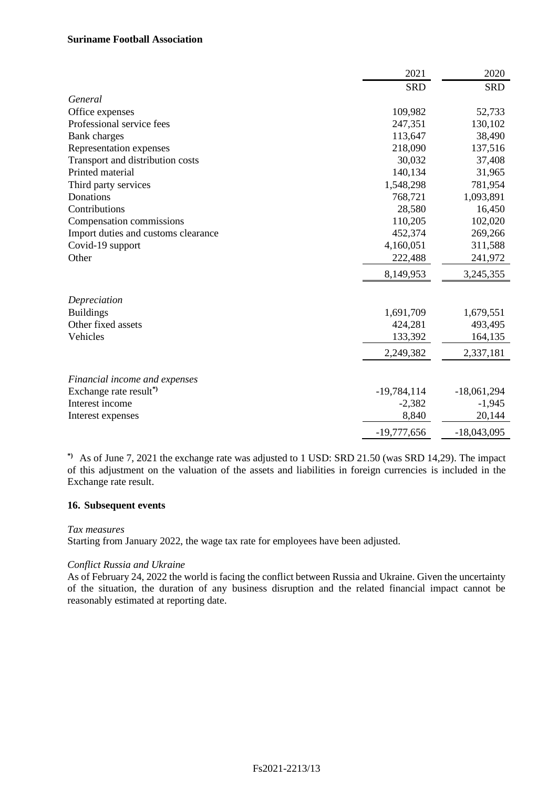|                                     | 2021          | 2020          |
|-------------------------------------|---------------|---------------|
|                                     | <b>SRD</b>    | <b>SRD</b>    |
| General                             |               |               |
| Office expenses                     | 109,982       | 52,733        |
| Professional service fees           | 247,351       | 130,102       |
| Bank charges                        | 113,647       | 38,490        |
| Representation expenses             | 218,090       | 137,516       |
| Transport and distribution costs    | 30,032        | 37,408        |
| Printed material                    | 140,134       | 31,965        |
| Third party services                | 1,548,298     | 781,954       |
| Donations                           | 768,721       | 1,093,891     |
| Contributions                       | 28,580        | 16,450        |
| Compensation commissions            | 110,205       | 102,020       |
| Import duties and customs clearance | 452,374       | 269,266       |
| Covid-19 support                    | 4,160,051     | 311,588       |
| Other                               | 222,488       | 241,972       |
|                                     | 8,149,953     | 3,245,355     |
| Depreciation                        |               |               |
| <b>Buildings</b>                    | 1,691,709     | 1,679,551     |
| Other fixed assets                  | 424,281       | 493,495       |
| Vehicles                            | 133,392       | 164,135       |
|                                     | 2,249,382     | 2,337,181     |
| Financial income and expenses       |               |               |
| Exchange rate result <sup>*</sup>   | $-19,784,114$ | $-18,061,294$ |
| Interest income                     | $-2,382$      | $-1,945$      |
| Interest expenses                   | 8,840         | 20,144        |
|                                     | $-19,777,656$ | $-18,043,095$ |

**\*)** As of June 7, 2021 the exchange rate was adjusted to 1 USD: SRD 21.50 (was SRD 14,29). The impact of this adjustment on the valuation of the assets and liabilities in foreign currencies is included in the Exchange rate result.

# **16. Subsequent events**

#### *Tax measures*

Starting from January 2022, the wage tax rate for employees have been adjusted.

#### *Conflict Russia and Ukraine*

As of February 24, 2022 the world is facing the conflict between Russia and Ukraine. Given the uncertainty of the situation, the duration of any business disruption and the related financial impact cannot be reasonably estimated at reporting date.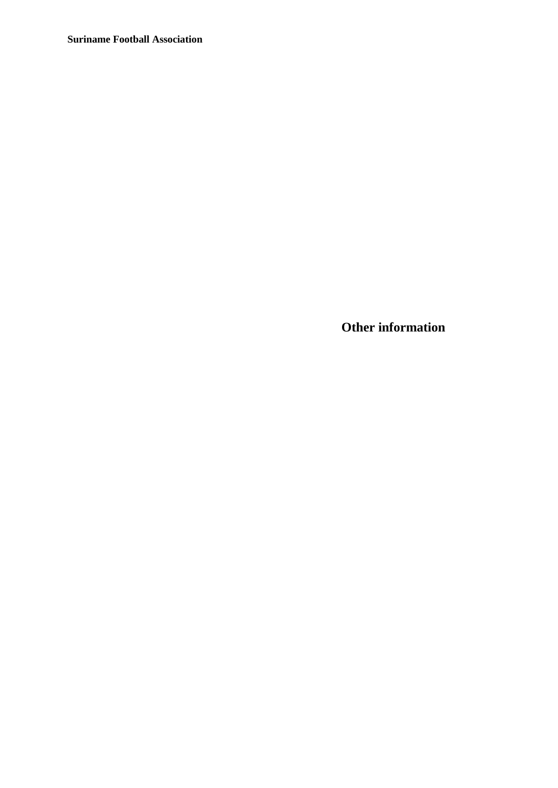**Other information**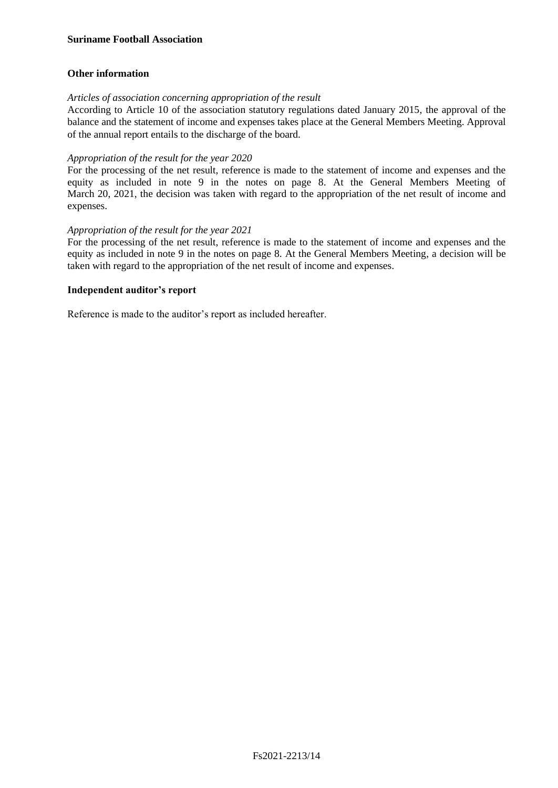# **Other information**

# *Articles of association concerning appropriation of the result*

According to Article 10 of the association statutory regulations dated January 2015, the approval of the balance and the statement of income and expenses takes place at the General Members Meeting. Approval of the annual report entails to the discharge of the board.

# *Appropriation of the result for the year 2020*

For the processing of the net result, reference is made to the statement of income and expenses and the equity as included in note 9 in the notes on page 8. At the General Members Meeting of March 20, 2021, the decision was taken with regard to the appropriation of the net result of income and expenses.

# *Appropriation of the result for the year 2021*

For the processing of the net result, reference is made to the statement of income and expenses and the equity as included in note 9 in the notes on page 8. At the General Members Meeting, a decision will be taken with regard to the appropriation of the net result of income and expenses.

# **Independent auditor's report**

Reference is made to the auditor's report as included hereafter.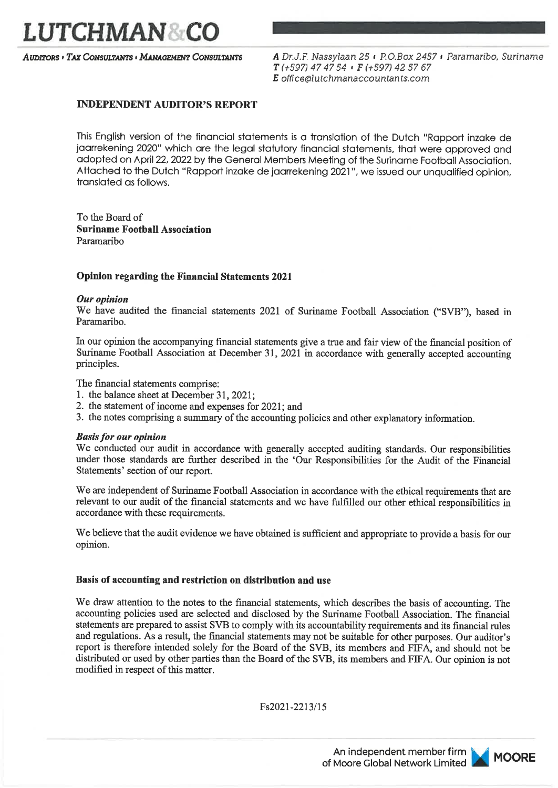

**AUDITORS · TAX CONSULTANTS · MANAGEMENT CONSULTANTS** 

A Dr.J.F. Nassylaan 25 · P.O.Box 2457 · Paramaribo, Suriname  $T$ (+597) 47 47 54  $\cdot$  F (+597) 42 57 67 E office@lutchmanaccountants.com

# **INDEPENDENT AUDITOR'S REPORT**

This English version of the financial statements is a translation of the Dutch "Rapport inzake de jaarrekening 2020" which are the legal statutory financial statements, that were approved and adopted on April 22, 2022 by the General Members Meeting of the Suriname Football Association. Attached to the Dutch "Rapport inzake de jaarrekening 2021", we issued our unqualified opinion, translated as follows.

To the Board of **Suriname Football Association** Paramaribo

# **Opinion regarding the Financial Statements 2021**

# Our opinion

We have audited the financial statements 2021 of Suriname Football Association ("SVB"), based in Paramariho

In our opinion the accompanying financial statements give a true and fair view of the financial position of Suriname Football Association at December 31, 2021 in accordance with generally accepted accounting principles.

The financial statements comprise:

- 1. the balance sheet at December 31, 2021;
- 2. the statement of income and expenses for 2021; and
- 3. the notes comprising a summary of the accounting policies and other explanatory information.

# **Basis for our opinion**

We conducted our audit in accordance with generally accepted auditing standards. Our responsibilities under those standards are further described in the 'Our Responsibilities for the Audit of the Financial Statements' section of our report.

We are independent of Suriname Football Association in accordance with the ethical requirements that are relevant to our audit of the financial statements and we have fulfilled our other ethical responsibilities in accordance with these requirements.

We believe that the audit evidence we have obtained is sufficient and appropriate to provide a basis for our opinion.

# Basis of accounting and restriction on distribution and use

We draw attention to the notes to the financial statements, which describes the basis of accounting. The accounting policies used are selected and disclosed by the Suriname Football Association. The financial statements are prepared to assist SVB to comply with its accountability requirements and its financial rules and regulations. As a result, the financial statements may not be suitable for other purposes. Our auditor's report is therefore intended solely for the Board of the SVB, its members and FIFA, and should not be distributed or used by other parties than the Board of the SVB, its members and FIFA. Our opinion is not modified in respect of this matter.

Fs2021-2213/15

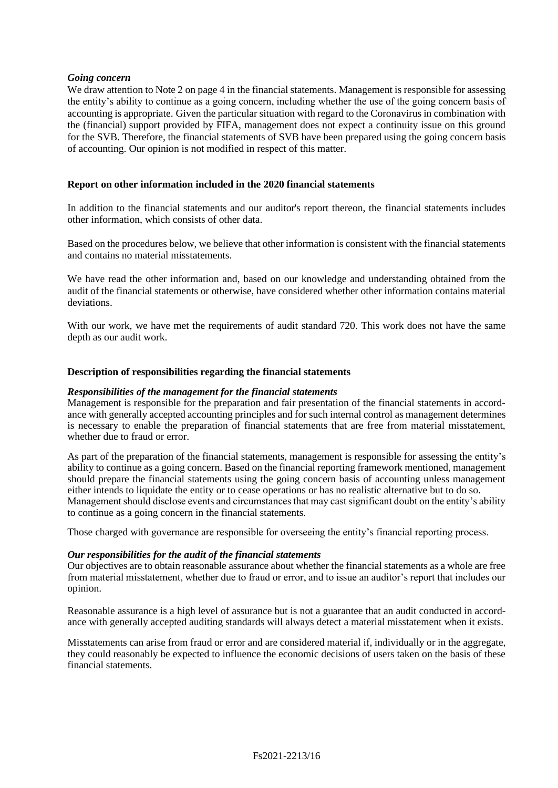# *Going concern*

We draw attention to Note 2 on page 4 in the financial statements. Management is responsible for assessing the entity's ability to continue as a going concern, including whether the use of the going concern basis of accounting is appropriate. Given the particular situation with regard to the Coronavirus in combination with the (financial) support provided by FIFA, management does not expect a continuity issue on this ground for the SVB. Therefore, the financial statements of SVB have been prepared using the going concern basis of accounting. Our opinion is not modified in respect of this matter.

# **Report on other information included in the 2020 financial statements**

In addition to the financial statements and our auditor's report thereon, the financial statements includes other information, which consists of other data.

Based on the procedures below, we believe that other information is consistent with the financial statements and contains no material misstatements.

We have read the other information and, based on our knowledge and understanding obtained from the audit of the financial statements or otherwise, have considered whether other information contains material deviations.

With our work, we have met the requirements of audit standard 720. This work does not have the same depth as our audit work.

# **Description of responsibilities regarding the financial statements**

#### *Responsibilities of the management for the financial statements*

Management is responsible for the preparation and fair presentation of the financial statements in accordance with generally accepted accounting principles and for such internal control as management determines is necessary to enable the preparation of financial statements that are free from material misstatement, whether due to fraud or error.

As part of the preparation of the financial statements, management is responsible for assessing the entity's ability to continue as a going concern. Based on the financial reporting framework mentioned, management should prepare the financial statements using the going concern basis of accounting unless management either intends to liquidate the entity or to cease operations or has no realistic alternative but to do so. Management should disclose events and circumstances that may cast significant doubt on the entity's ability to continue as a going concern in the financial statements.

Those charged with governance are responsible for overseeing the entity's financial reporting process.

#### *Our responsibilities for the audit of the financial statements*

Our objectives are to obtain reasonable assurance about whether the financial statements as a whole are free from material misstatement, whether due to fraud or error, and to issue an auditor's report that includes our opinion.

Reasonable assurance is a high level of assurance but is not a guarantee that an audit conducted in accordance with generally accepted auditing standards will always detect a material misstatement when it exists.

Misstatements can arise from fraud or error and are considered material if, individually or in the aggregate, they could reasonably be expected to influence the economic decisions of users taken on the basis of these financial statements.